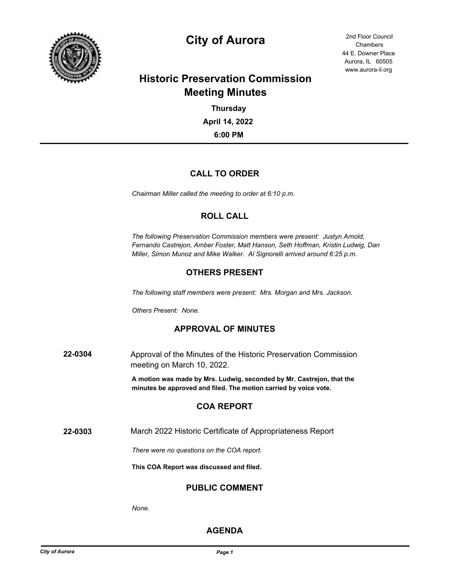

# **City of Aurora** 2nd Floor Council

44 E. Downer Place Aurora, IL 60505 www.aurora-il.org Chambers

## **Historic Preservation Commission Meeting Minutes**

**6:00 PM April 14, 2022 Thursday**

## **CALL TO ORDER**

*Chairman Miller called the meeting to order at 6:10 p.m.*

## **ROLL CALL**

*The following Preservation Commission members were present: Justyn Arnold, Fernando Castrejon, Amber Foster, Matt Hanson, Seth Hoffman, Kristin Ludwig, Dan Miller, Simon Munoz and Mike Walker. Al Signorelli arrived around 6:25 p.m.*

## **OTHERS PRESENT**

*The following staff members were present: Mrs. Morgan and Mrs. Jackson.*

*Others Present: None.*

## **APPROVAL OF MINUTES**

**22-0304** Approval of the Minutes of the Historic Preservation Commission meeting on March 10, 2022.

> **A motion was made by Mrs. Ludwig, seconded by Mr. Castrejon, that the minutes be approved and filed. The motion carried by voice vote.**

## **COA REPORT**

**22-0303** March 2022 Historic Certificate of Appropriateness Report

*There were no questions on the COA report.*

**This COA Report was discussed and filed.**

#### **PUBLIC COMMENT**

*None.*

## **AGENDA**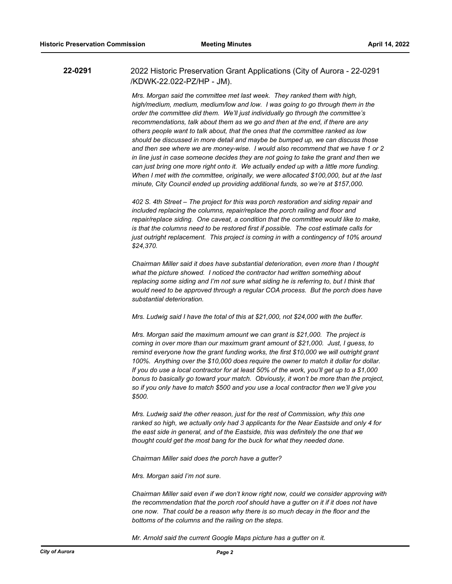**22-0291** 2022 Historic Preservation Grant Applications (City of Aurora - 22-0291 /KDWK-22.022-PZ/HP - JM).

> *Mrs. Morgan said the committee met last week. They ranked them with high, high/medium, medium, medium/low and low. I was going to go through them in the order the committee did them. We'll just individually go through the committee's recommendations, talk about them as we go and then at the end, if there are any others people want to talk about, that the ones that the committee ranked as low should be discussed in more detail and maybe be bumped up, we can discuss those and then see where we are money-wise. I would also recommend that we have 1 or 2 in line just in case someone decides they are not going to take the grant and then we can just bring one more right onto it. We actually ended up with a little more funding. When I met with the committee, originally, we were allocated \$100,000, but at the last minute, City Council ended up providing additional funds, so we're at \$157,000.*

> *402 S. 4th Street – The project for this was porch restoration and siding repair and*  included replacing the columns, repair/replace the porch railing and floor and *repair/replace siding. One caveat, a condition that the committee would like to make, is that the columns need to be restored first if possible. The cost estimate calls for just outright replacement. This project is coming in with a contingency of 10% around \$24,370.*

> *Chairman Miller said it does have substantial deterioration, even more than I thought what the picture showed. I noticed the contractor had written something about replacing some siding and I'm not sure what siding he is referring to, but I think that*  would need to be approved through a regular COA process. But the porch does have *substantial deterioration.*

*Mrs. Ludwig said I have the total of this at \$21,000, not \$24,000 with the buffer.*

*Mrs. Morgan said the maximum amount we can grant is \$21,000. The project is coming in over more than our maximum grant amount of \$21,000. Just, I guess, to remind everyone how the grant funding works, the first \$10,000 we will outright grant 100%. Anything over the \$10,000 does require the owner to match it dollar for dollar. If you do use a local contractor for at least 50% of the work, you'll get up to a \$1,000 bonus to basically go toward your match. Obviously, it won't be more than the project, so if you only have to match \$500 and you use a local contractor then we'll give you \$500.*

*Mrs. Ludwig said the other reason, just for the rest of Commission, why this one ranked so high, we actually only had 3 applicants for the Near Eastside and only 4 for the east side in general, and of the Eastside, this was definitely the one that we thought could get the most bang for the buck for what they needed done.*

*Chairman Miller said does the porch have a gutter?*

*Mrs. Morgan said I'm not sure.*

*Chairman Miller said even if we don't know right now, could we consider approving with the recommendation that the porch roof should have a gutter on it if it does not have one now. That could be a reason why there is so much decay in the floor and the bottoms of the columns and the railing on the steps.*

*Mr. Arnold said the current Google Maps picture has a gutter on it.*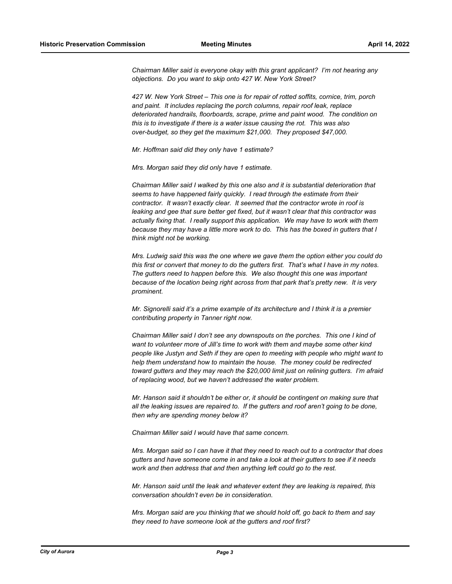*Chairman Miller said is everyone okay with this grant applicant? I'm not hearing any objections. Do you want to skip onto 427 W. New York Street?*

*427 W. New York Street – This one is for repair of rotted soffits, cornice, trim, porch and paint. It includes replacing the porch columns, repair roof leak, replace deteriorated handrails, floorboards, scrape, prime and paint wood. The condition on this is to investigate if there is a water issue causing the rot. This was also over-budget, so they get the maximum \$21,000. They proposed \$47,000.*

*Mr. Hoffman said did they only have 1 estimate?*

*Mrs. Morgan said they did only have 1 estimate.*

*Chairman Miller said I walked by this one also and it is substantial deterioration that seems to have happened fairly quickly. I read through the estimate from their contractor. It wasn't exactly clear. It seemed that the contractor wrote in roof is leaking and gee that sure better get fixed, but it wasn't clear that this contractor was actually fixing that. I really support this application. We may have to work with them because they may have a little more work to do. This has the boxed in gutters that I think might not be working.*

*Mrs. Ludwig said this was the one where we gave them the option either you could do this first or convert that money to do the gutters first. That's what I have in my notes. The gutters need to happen before this. We also thought this one was important because of the location being right across from that park that's pretty new. It is very prominent.*

*Mr. Signorelli said it's a prime example of its architecture and I think it is a premier contributing property in Tanner right now.*

*Chairman Miller said I don't see any downspouts on the porches. This one I kind of want to volunteer more of Jill's time to work with them and maybe some other kind people like Justyn and Seth if they are open to meeting with people who might want to help them understand how to maintain the house. The money could be redirected toward gutters and they may reach the \$20,000 limit just on relining gutters. I'm afraid of replacing wood, but we haven't addressed the water problem.*

*Mr. Hanson said it shouldn't be either or, it should be contingent on making sure that all the leaking issues are repaired to. If the gutters and roof aren't going to be done, then why are spending money below it?*

*Chairman Miller said I would have that same concern.*

*Mrs. Morgan said so I can have it that they need to reach out to a contractor that does gutters and have someone come in and take a look at their gutters to see if it needs work and then address that and then anything left could go to the rest.*

*Mr. Hanson said until the leak and whatever extent they are leaking is repaired, this conversation shouldn't even be in consideration.*

*Mrs. Morgan said are you thinking that we should hold off, go back to them and say they need to have someone look at the gutters and roof first?*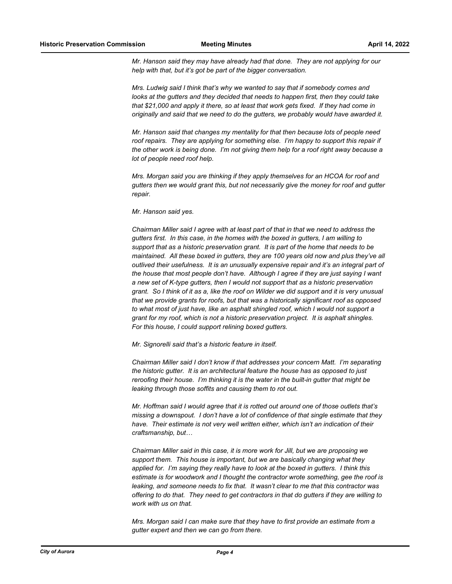*Mr. Hanson said they may have already had that done. They are not applying for our help with that, but it's got be part of the bigger conversation.*

*Mrs. Ludwig said I think that's why we wanted to say that if somebody comes and looks at the gutters and they decided that needs to happen first, then they could take that \$21,000 and apply it there, so at least that work gets fixed. If they had come in originally and said that we need to do the gutters, we probably would have awarded it.*

*Mr. Hanson said that changes my mentality for that then because lots of people need roof repairs. They are applying for something else. I'm happy to support this repair if the other work is being done. I'm not giving them help for a roof right away because a lot of people need roof help.*

*Mrs. Morgan said you are thinking if they apply themselves for an HCOA for roof and gutters then we would grant this, but not necessarily give the money for roof and gutter repair.*

*Mr. Hanson said yes.*

*Chairman Miller said I agree with at least part of that in that we need to address the gutters first. In this case, in the homes with the boxed in gutters, I am willing to support that as a historic preservation grant. It is part of the home that needs to be maintained. All these boxed in gutters, they are 100 years old now and plus they've all outlived their usefulness. It is an unusually expensive repair and it's an integral part of the house that most people don't have. Although I agree if they are just saying I want a new set of K-type gutters, then I would not support that as a historic preservation grant. So I think of it as a, like the roof on Wilder we did support and it is very unusual that we provide grants for roofs, but that was a historically significant roof as opposed to what most of just have, like an asphalt shingled roof, which I would not support a grant for my roof, which is not a historic preservation project. It is asphalt shingles. For this house, I could support relining boxed gutters.*

*Mr. Signorelli said that's a historic feature in itself.*

*Chairman Miller said I don't know if that addresses your concern Matt. I'm separating the historic gutter. It is an architectural feature the house has as opposed to just reroofing their house. I'm thinking it is the water in the built-in gutter that might be leaking through those soffits and causing them to rot out.*

*Mr. Hoffman said I would agree that it is rotted out around one of those outlets that's missing a downspout. I don't have a lot of confidence of that single estimate that they have. Their estimate is not very well written either, which isn't an indication of their craftsmanship, but…*

*Chairman Miller said in this case, it is more work for Jill, but we are proposing we support them. This house is important, but we are basically changing what they applied for. I'm saying they really have to look at the boxed in gutters. I think this estimate is for woodwork and I thought the contractor wrote something, gee the roof is leaking, and someone needs to fix that. It wasn't clear to me that this contractor was offering to do that. They need to get contractors in that do gutters if they are willing to work with us on that.*

*Mrs. Morgan said I can make sure that they have to first provide an estimate from a gutter expert and then we can go from there.*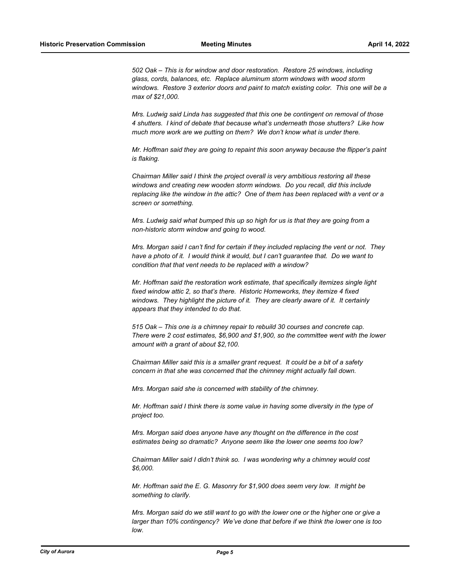*502 Oak – This is for window and door restoration. Restore 25 windows, including glass, cords, balances, etc. Replace aluminum storm windows with wood storm windows. Restore 3 exterior doors and paint to match existing color. This one will be a max of \$21,000.*

*Mrs. Ludwig said Linda has suggested that this one be contingent on removal of those 4 shutters. I kind of debate that because what's underneath those shutters? Like how much more work are we putting on them? We don't know what is under there.*

*Mr. Hoffman said they are going to repaint this soon anyway because the flipper's paint is flaking.*

*Chairman Miller said I think the project overall is very ambitious restoring all these windows and creating new wooden storm windows. Do you recall, did this include replacing like the window in the attic? One of them has been replaced with a vent or a screen or something.*

*Mrs. Ludwig said what bumped this up so high for us is that they are going from a non-historic storm window and going to wood.*

*Mrs. Morgan said I can't find for certain if they included replacing the vent or not. They have a photo of it. I would think it would, but I can't guarantee that. Do we want to condition that that vent needs to be replaced with a window?*

*Mr. Hoffman said the restoration work estimate, that specifically itemizes single light fixed window attic 2, so that's there. Historic Homeworks, they itemize 4 fixed*  windows. They highlight the picture of it. They are clearly aware of it. It certainly *appears that they intended to do that.* 

*515 Oak – This one is a chimney repair to rebuild 30 courses and concrete cap. There were 2 cost estimates, \$6,900 and \$1,900, so the committee went with the lower amount with a grant of about \$2,100.*

*Chairman Miller said this is a smaller grant request. It could be a bit of a safety concern in that she was concerned that the chimney might actually fall down.*

*Mrs. Morgan said she is concerned with stability of the chimney.*

*Mr. Hoffman said I think there is some value in having some diversity in the type of project too.*

*Mrs. Morgan said does anyone have any thought on the difference in the cost estimates being so dramatic? Anyone seem like the lower one seems too low?*

*Chairman Miller said I didn't think so. I was wondering why a chimney would cost \$6,000.*

*Mr. Hoffman said the E. G. Masonry for \$1,900 does seem very low. It might be something to clarify.*

*Mrs. Morgan said do we still want to go with the lower one or the higher one or give a larger than 10% contingency? We've done that before if we think the lower one is too low.*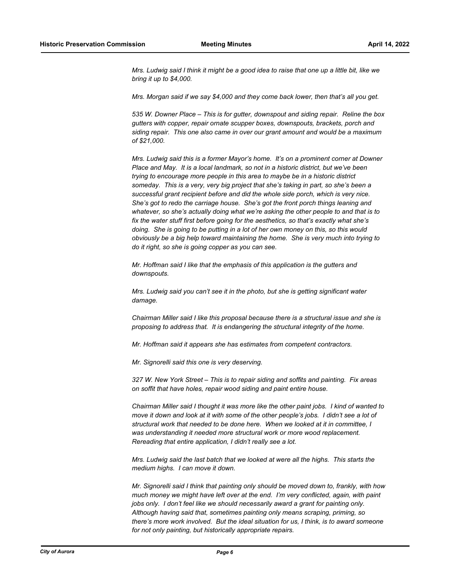*Mrs. Ludwig said I think it might be a good idea to raise that one up a little bit, like we bring it up to \$4,000.*

*Mrs. Morgan said if we say \$4,000 and they come back lower, then that's all you get.*

*535 W. Downer Place – This is for gutter, downspout and siding repair. Reline the box gutters with copper, repair ornate scupper boxes, downspouts, brackets, porch and siding repair. This one also came in over our grant amount and would be a maximum of \$21,000.*

*Mrs. Ludwig said this is a former Mayor's home. It's on a prominent corner at Downer Place and May. It is a local landmark, so not in a historic district, but we've been trying to encourage more people in this area to maybe be in a historic district someday. This is a very, very big project that she's taking in part, so she's been a successful grant recipient before and did the whole side porch, which is very nice. She's got to redo the carriage house. She's got the front porch things leaning and whatever, so she's actually doing what we're asking the other people to and that is to fix the water stuff first before going for the aesthetics, so that's exactly what she's doing. She is going to be putting in a lot of her own money on this, so this would obviously be a big help toward maintaining the home. She is very much into trying to do it right, so she is going copper as you can see.*

*Mr. Hoffman said I like that the emphasis of this application is the gutters and downspouts.*

*Mrs. Ludwig said you can't see it in the photo, but she is getting significant water damage.*

*Chairman Miller said I like this proposal because there is a structural issue and she is proposing to address that. It is endangering the structural integrity of the home.*

*Mr. Hoffman said it appears she has estimates from competent contractors.*

*Mr. Signorelli said this one is very deserving.*

*327 W. New York Street – This is to repair siding and soffits and painting. Fix areas on soffit that have holes, repair wood siding and paint entire house.*

*Chairman Miller said I thought it was more like the other paint jobs. I kind of wanted to move it down and look at it with some of the other people's jobs. I didn't see a lot of structural work that needed to be done here. When we looked at it in committee, I was understanding it needed more structural work or more wood replacement. Rereading that entire application, I didn't really see a lot.*

*Mrs. Ludwig said the last batch that we looked at were all the highs. This starts the medium highs. I can move it down.*

*Mr. Signorelli said I think that painting only should be moved down to, frankly, with how much money we might have left over at the end. I'm very conflicted, again, with paint jobs only. I don't feel like we should necessarily award a grant for painting only. Although having said that, sometimes painting only means scraping, priming, so there's more work involved. But the ideal situation for us, I think, is to award someone for not only painting, but historically appropriate repairs.*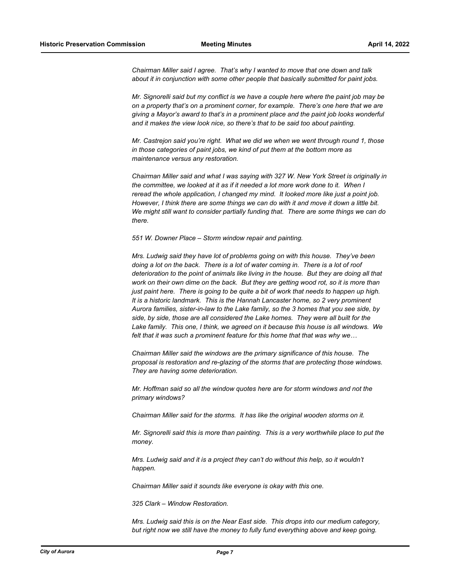*Chairman Miller said I agree. That's why I wanted to move that one down and talk about it in conjunction with some other people that basically submitted for paint jobs.*

*Mr. Signorelli said but my conflict is we have a couple here where the paint job may be on a property that's on a prominent corner, for example. There's one here that we are giving a Mayor's award to that's in a prominent place and the paint job looks wonderful and it makes the view look nice, so there's that to be said too about painting.*

*Mr. Castrejon said you're right. What we did we when we went through round 1, those in those categories of paint jobs, we kind of put them at the bottom more as maintenance versus any restoration.*

*Chairman Miller said and what I was saying with 327 W. New York Street is originally in the committee, we looked at it as if it needed a lot more work done to it. When I reread the whole application, I changed my mind. It looked more like just a point job. However, I think there are some things we can do with it and move it down a little bit. We might still want to consider partially funding that. There are some things we can do there.*

*551 W. Downer Place – Storm window repair and painting.*

*Mrs. Ludwig said they have lot of problems going on with this house. They've been doing a lot on the back. There is a lot of water coming in. There is a lot of roof deterioration to the point of animals like living in the house. But they are doing all that work on their own dime on the back. But they are getting wood rot, so it is more than just paint here. There is going to be quite a bit of work that needs to happen up high. It is a historic landmark. This is the Hannah Lancaster home, so 2 very prominent Aurora families, sister-in-law to the Lake family, so the 3 homes that you see side, by side, by side, those are all considered the Lake homes. They were all built for the Lake family. This one, I think, we agreed on it because this house is all windows. We felt that it was such a prominent feature for this home that that was why we…*

*Chairman Miller said the windows are the primary significance of this house. The proposal is restoration and re-glazing of the storms that are protecting those windows. They are having some deterioration.*

*Mr. Hoffman said so all the window quotes here are for storm windows and not the primary windows?*

*Chairman Miller said for the storms. It has like the original wooden storms on it.*

*Mr. Signorelli said this is more than painting. This is a very worthwhile place to put the money.*

*Mrs. Ludwig said and it is a project they can't do without this help, so it wouldn't happen.*

*Chairman Miller said it sounds like everyone is okay with this one.*

*325 Clark – Window Restoration.*

*Mrs. Ludwig said this is on the Near East side. This drops into our medium category, but right now we still have the money to fully fund everything above and keep going.*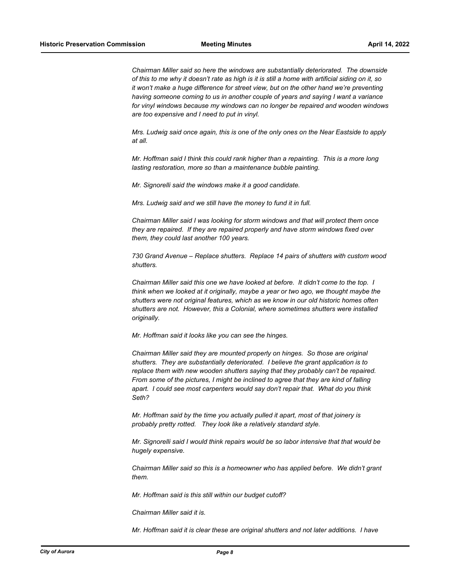*Chairman Miller said so here the windows are substantially deteriorated. The downside of this to me why it doesn't rate as high is it is still a home with artificial siding on it, so it won't make a huge difference for street view, but on the other hand we're preventing having someone coming to us in another couple of years and saying I want a variance for vinyl windows because my windows can no longer be repaired and wooden windows are too expensive and I need to put in vinyl.*

*Mrs. Ludwig said once again, this is one of the only ones on the Near Eastside to apply at all.*

*Mr. Hoffman said I think this could rank higher than a repainting. This is a more long lasting restoration, more so than a maintenance bubble painting.*

*Mr. Signorelli said the windows make it a good candidate.*

*Mrs. Ludwig said and we still have the money to fund it in full.*

*Chairman Miller said I was looking for storm windows and that will protect them once they are repaired. If they are repaired properly and have storm windows fixed over them, they could last another 100 years.* 

*730 Grand Avenue – Replace shutters. Replace 14 pairs of shutters with custom wood shutters.*

*Chairman Miller said this one we have looked at before. It didn't come to the top. I think when we looked at it originally, maybe a year or two ago, we thought maybe the shutters were not original features, which as we know in our old historic homes often shutters are not. However, this a Colonial, where sometimes shutters were installed originally.* 

*Mr. Hoffman said it looks like you can see the hinges.*

*Chairman Miller said they are mounted properly on hinges. So those are original shutters. They are substantially deteriorated. I believe the grant application is to replace them with new wooden shutters saying that they probably can't be repaired. From some of the pictures, I might be inclined to agree that they are kind of falling apart. I could see most carpenters would say don't repair that. What do you think Seth?*

*Mr. Hoffman said by the time you actually pulled it apart, most of that joinery is probably pretty rotted. They look like a relatively standard style.*

*Mr. Signorelli said I would think repairs would be so labor intensive that that would be hugely expensive.*

*Chairman Miller said so this is a homeowner who has applied before. We didn't grant them.*

*Mr. Hoffman said is this still within our budget cutoff?*

*Chairman Miller said it is.*

*Mr. Hoffman said it is clear these are original shutters and not later additions. I have*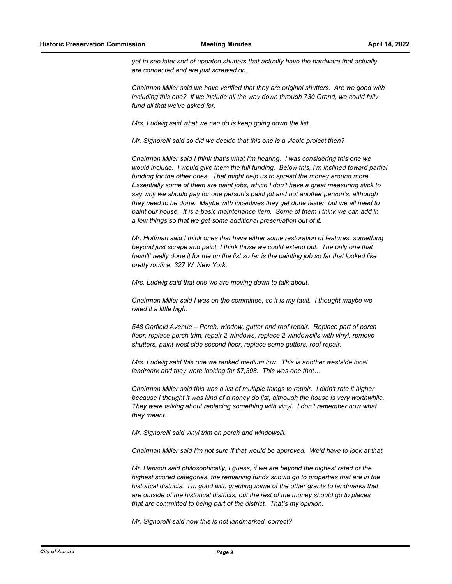*yet to see later sort of updated shutters that actually have the hardware that actually are connected and are just screwed on.*

*Chairman Miller said we have verified that they are original shutters. Are we good with including this one? If we include all the way down through 730 Grand, we could fully fund all that we've asked for.* 

*Mrs. Ludwig said what we can do is keep going down the list.*

*Mr. Signorelli said so did we decide that this one is a viable project then?*

*Chairman Miller said I think that's what I'm hearing. I was considering this one we would include. I would give them the full funding. Below this, I'm inclined toward partial funding for the other ones. That might help us to spread the money around more. Essentially some of them are paint jobs, which I don't have a great measuring stick to say why we should pay for one person's paint jot and not another person's, although they need to be done. Maybe with incentives they get done faster, but we all need to paint our house. It is a basic maintenance item. Some of them I think we can add in a few things so that we get some additional preservation out of it.*

*Mr. Hoffman said I think ones that have either some restoration of features, something beyond just scrape and paint, I think those we could extend out. The only one that hasn't' really done it for me on the list so far is the painting job so far that looked like pretty routine, 327 W. New York.*

*Mrs. Ludwig said that one we are moving down to talk about.*

*Chairman Miller said I was on the committee, so it is my fault. I thought maybe we rated it a little high.*

*548 Garfield Avenue – Porch, window, gutter and roof repair. Replace part of porch floor, replace porch trim, repair 2 windows, replace 2 windowsills with vinyl, remove shutters, paint west side second floor, replace some gutters, roof repair.*

*Mrs. Ludwig said this one we ranked medium low. This is another westside local landmark and they were looking for \$7,308. This was one that…*

*Chairman Miller said this was a list of multiple things to repair. I didn't rate it higher because I thought it was kind of a honey do list, although the house is very worthwhile. They were talking about replacing something with vinyl. I don't remember now what they meant.*

*Mr. Signorelli said vinyl trim on porch and windowsill.*

*Chairman Miller said I'm not sure if that would be approved. We'd have to look at that.*

*Mr. Hanson said philosophically, I guess, if we are beyond the highest rated or the highest scored categories, the remaining funds should go to properties that are in the historical districts. I'm good with granting some of the other grants to landmarks that are outside of the historical districts, but the rest of the money should go to places that are committed to being part of the district. That's my opinion.*

*Mr. Signorelli said now this is not landmarked, correct?*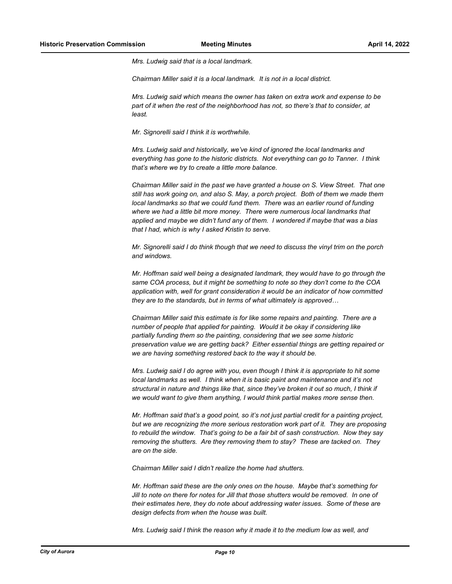*Mrs. Ludwig said that is a local landmark.*

*Chairman Miller said it is a local landmark. It is not in a local district.*

*Mrs. Ludwig said which means the owner has taken on extra work and expense to be part of it when the rest of the neighborhood has not, so there's that to consider, at least.*

*Mr. Signorelli said I think it is worthwhile.*

*Mrs. Ludwig said and historically, we've kind of ignored the local landmarks and everything has gone to the historic districts. Not everything can go to Tanner. I think that's where we try to create a little more balance.*

*Chairman Miller said in the past we have granted a house on S. View Street. That one still has work going on, and also S. May, a porch project. Both of them we made them local landmarks so that we could fund them. There was an earlier round of funding where we had a little bit more money. There were numerous local landmarks that applied and maybe we didn't fund any of them. I wondered if maybe that was a bias that I had, which is why I asked Kristin to serve.*

*Mr. Signorelli said I do think though that we need to discuss the vinyl trim on the porch and windows.*

*Mr. Hoffman said well being a designated landmark, they would have to go through the same COA process, but it might be something to note so they don't come to the COA application with, well for grant consideration it would be an indicator of how committed they are to the standards, but in terms of what ultimately is approved…*

*Chairman Miller said this estimate is for like some repairs and painting. There are a number of people that applied for painting. Would it be okay if considering like partially funding them so the painting, considering that we see some historic preservation value we are getting back? Either essential things are getting repaired or we are having something restored back to the way it should be.*

*Mrs. Ludwig said I do agree with you, even though I think it is appropriate to hit some local landmarks as well. I think when it is basic paint and maintenance and it's not structural in nature and things like that, since they've broken it out so much, I think if we would want to give them anything, I would think partial makes more sense then.*

*Mr. Hoffman said that's a good point, so it's not just partial credit for a painting project, but we are recognizing the more serious restoration work part of it. They are proposing to rebuild the window. That's going to be a fair bit of sash construction. Now they say removing the shutters. Are they removing them to stay? These are tacked on. They are on the side.*

*Chairman Miller said I didn't realize the home had shutters.*

*Mr. Hoffman said these are the only ones on the house. Maybe that's something for Jill to note on there for notes for Jill that those shutters would be removed. In one of their estimates here, they do note about addressing water issues. Some of these are design defects from when the house was built.*

*Mrs. Ludwig said I think the reason why it made it to the medium low as well, and*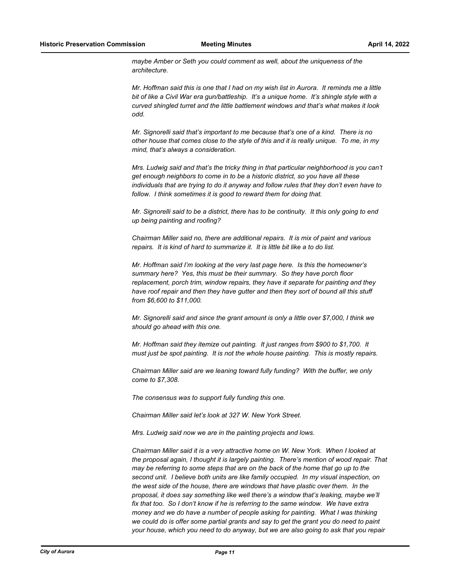*maybe Amber or Seth you could comment as well, about the uniqueness of the architecture.*

*Mr. Hoffman said this is one that I had on my wish list in Aurora. It reminds me a little bit of like a Civil War era gun/battleship. It's a unique home. It's shingle style with a curved shingled turret and the little battlement windows and that's what makes it look odd.*

*Mr. Signorelli said that's important to me because that's one of a kind. There is no other house that comes close to the style of this and it is really unique. To me, in my mind, that's always a consideration.*

*Mrs. Ludwig said and that's the tricky thing in that particular neighborhood is you can't get enough neighbors to come in to be a historic district, so you have all these individuals that are trying to do it anyway and follow rules that they don't even have to follow. I think sometimes it is good to reward them for doing that.*

*Mr. Signorelli said to be a district, there has to be continuity. It this only going to end up being painting and roofing?*

*Chairman Miller said no, there are additional repairs. It is mix of paint and various repairs. It is kind of hard to summarize it. It is little bit like a to do list.*

*Mr. Hoffman said I'm looking at the very last page here. Is this the homeowner's summary here? Yes, this must be their summary. So they have porch floor replacement, porch trim, window repairs, they have it separate for painting and they have roof repair and then they have gutter and then they sort of bound all this stuff from \$6,600 to \$11,000.*

*Mr. Signorelli said and since the grant amount is only a little over \$7,000, I think we should go ahead with this one.*

*Mr. Hoffman said they itemize out painting. It just ranges from \$900 to \$1,700. It must just be spot painting. It is not the whole house painting. This is mostly repairs.*

*Chairman Miller said are we leaning toward fully funding? With the buffer, we only come to \$7,308.*

*The consensus was to support fully funding this one.*

*Chairman Miller said let's look at 327 W. New York Street.*

*Mrs. Ludwig said now we are in the painting projects and lows.*

*Chairman Miller said it is a very attractive home on W. New York. When I looked at the proposal again, I thought it is largely painting. There's mention of wood repair. That may be referring to some steps that are on the back of the home that go up to the second unit. I believe both units are like family occupied. In my visual inspection, on the west side of the house, there are windows that have plastic over them. In the proposal, it does say something like well there's a window that's leaking, maybe we'll fix that too. So I don't know if he is referring to the same window. We have extra money and we do have a number of people asking for painting. What I was thinking we could do is offer some partial grants and say to get the grant you do need to paint your house, which you need to do anyway, but we are also going to ask that you repair*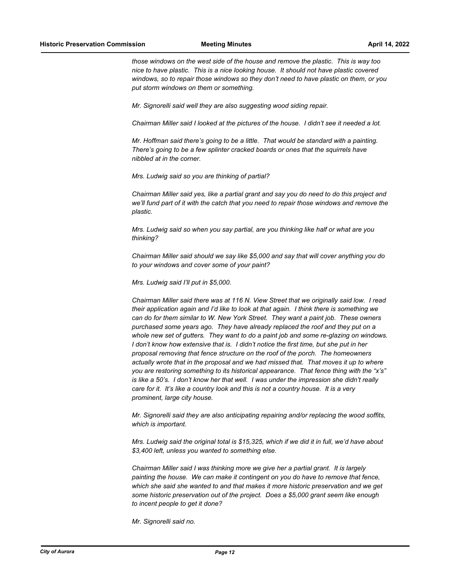*those windows on the west side of the house and remove the plastic. This is way too nice to have plastic. This is a nice looking house. It should not have plastic covered windows, so to repair those windows so they don't need to have plastic on them, or you put storm windows on them or something.*

*Mr. Signorelli said well they are also suggesting wood siding repair.*

*Chairman Miller said I looked at the pictures of the house. I didn't see it needed a lot.*

*Mr. Hoffman said there's going to be a little. That would be standard with a painting. There's going to be a few splinter cracked boards or ones that the squirrels have nibbled at in the corner.*

*Mrs. Ludwig said so you are thinking of partial?*

*Chairman Miller said yes, like a partial grant and say you do need to do this project and we'll fund part of it with the catch that you need to repair those windows and remove the plastic.*

*Mrs. Ludwig said so when you say partial, are you thinking like half or what are you thinking?*

*Chairman Miller said should we say like \$5,000 and say that will cover anything you do to your windows and cover some of your paint?*

*Mrs. Ludwig said I'll put in \$5,000.*

*Chairman Miller said there was at 116 N. View Street that we originally said low. I read their application again and I'd like to look at that again. I think there is something we can do for them similar to W. New York Street. They want a paint job. These owners purchased some years ago. They have already replaced the roof and they put on a whole new set of gutters. They want to do a paint job and some re-glazing on windows. I don't know how extensive that is. I didn't notice the first time, but she put in her proposal removing that fence structure on the roof of the porch. The homeowners actually wrote that in the proposal and we had missed that. That moves it up to where you are restoring something to its historical appearance. That fence thing with the "x's" is like a 50's. I don't know her that well. I was under the impression she didn't really care for it. It's like a country look and this is not a country house. It is a very prominent, large city house.*

*Mr. Signorelli said they are also anticipating repairing and/or replacing the wood soffits, which is important.*

*Mrs. Ludwig said the original total is \$15,325, which if we did it in full, we'd have about \$3,400 left, unless you wanted to something else.*

*Chairman Miller said I was thinking more we give her a partial grant. It is largely painting the house. We can make it contingent on you do have to remove that fence, which she said she wanted to and that makes it more historic preservation and we get some historic preservation out of the project. Does a \$5,000 grant seem like enough to incent people to get it done?*

*Mr. Signorelli said no.*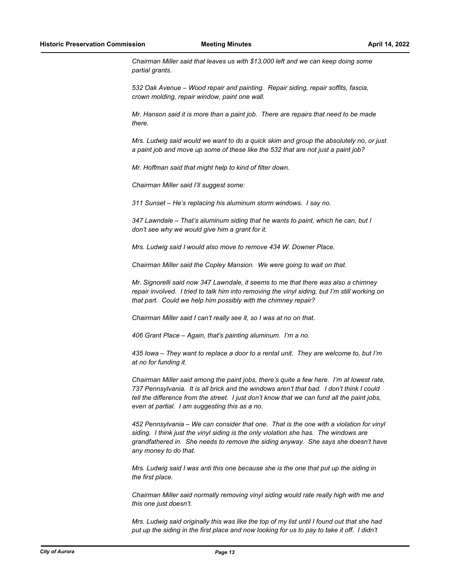*Chairman Miller said that leaves us with \$13,000 left and we can keep doing some partial grants.*

*532 Oak Avenue – Wood repair and painting. Repair siding, repair soffits, fascia, crown molding, repair window, paint one wall.*

*Mr. Hanson said it is more than a paint job. There are repairs that need to be made there.*

*Mrs. Ludwig said would we want to do a quick skim and group the absolutely no, or just a paint job and move up some of these like the 532 that are not just a paint job?*

*Mr. Hoffman said that might help to kind of filter down.*

*Chairman Miller said I'll suggest some:*

*311 Sunset – He's replacing his aluminum storm windows. I say no.*

*347 Lawndale – That's aluminum siding that he wants to paint, which he can, but I don't see why we would give him a grant for it.*

*Mrs. Ludwig said I would also move to remove 434 W. Downer Place.*

*Chairman Miller said the Copley Mansion. We were going to wait on that.*

*Mr. Signorelli said now 347 Lawndale, it seems to me that there was also a chimney repair involved. I tried to talk him into removing the vinyl siding, but I'm still working on that part. Could we help him possibly with the chimney repair?*

*Chairman Miller said I can't really see it, so I was at no on that.*

*406 Grant Place – Again, that's painting aluminum. I'm a no.*

*435 Iowa – They want to replace a door to a rental unit. They are welcome to, but I'm at no for funding it.*

*Chairman Miller said among the paint jobs, there's quite a few here. I'm at lowest rate, 737 Pennsylvania. It is all brick and the windows aren't that bad. I don't think I could tell the difference from the street. I just don't know that we can fund all the paint jobs, even at partial. I am suggesting this as a no.*

*452 Pennsylvania – We can consider that one. That is the one with a violation for vinyl siding. I think just the vinyl siding is the only violation she has. The windows are grandfathered in. She needs to remove the siding anyway. She says she doesn't have any money to do that.*

*Mrs. Ludwig said I was anti this one because she is the one that put up the siding in the first place.*

*Chairman Miller said normally removing vinyl siding would rate really high with me and this one just doesn't.*

*Mrs. Ludwig said originally this was like the top of my list until I found out that she had put up the siding in the first place and now looking for us to pay to take it off. I didn't*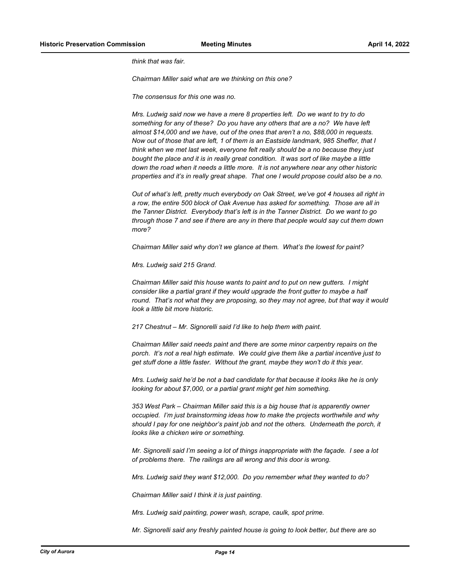*think that was fair.*

*Chairman Miller said what are we thinking on this one?*

*The consensus for this one was no.*

*Mrs. Ludwig said now we have a mere 8 properties left. Do we want to try to do something for any of these? Do you have any others that are a no? We have left almost \$14,000 and we have, out of the ones that aren't a no, \$88,000 in requests. Now out of those that are left, 1 of them is an Eastside landmark, 985 Sheffer, that I think when we met last week, everyone felt really should be a no because they just bought the place and it is in really great condition. It was sort of like maybe a little down the road when it needs a little more. It is not anywhere near any other historic properties and it's in really great shape. That one I would propose could also be a no.*

*Out of what's left, pretty much everybody on Oak Street, we've got 4 houses all right in a row, the entire 500 block of Oak Avenue has asked for something. Those are all in the Tanner District. Everybody that's left is in the Tanner District. Do we want to go through those 7 and see if there are any in there that people would say cut them down more?*

*Chairman Miller said why don't we glance at them. What's the lowest for paint?*

*Mrs. Ludwig said 215 Grand.*

*Chairman Miller said this house wants to paint and to put on new gutters. I might consider like a partial grant if they would upgrade the front gutter to maybe a half round. That's not what they are proposing, so they may not agree, but that way it would look a little bit more historic.*

*217 Chestnut – Mr. Signorelli said I'd like to help them with paint.*

*Chairman Miller said needs paint and there are some minor carpentry repairs on the porch. It's not a real high estimate. We could give them like a partial incentive just to get stuff done a little faster. Without the grant, maybe they won't do it this year.*

*Mrs. Ludwig said he'd be not a bad candidate for that because it looks like he is only looking for about \$7,000, or a partial grant might get him something.*

*353 West Park – Chairman Miller said this is a big house that is apparently owner occupied. I'm just brainstorming ideas how to make the projects worthwhile and why should I pay for one neighbor's paint job and not the others. Underneath the porch, it looks like a chicken wire or something.*

*Mr. Signorelli said I'm seeing a lot of things inappropriate with the façade. I see a lot of problems there. The railings are all wrong and this door is wrong.*

*Mrs. Ludwig said they want \$12,000. Do you remember what they wanted to do?*

*Chairman Miller said I think it is just painting.*

*Mrs. Ludwig said painting, power wash, scrape, caulk, spot prime.*

*Mr. Signorelli said any freshly painted house is going to look better, but there are so*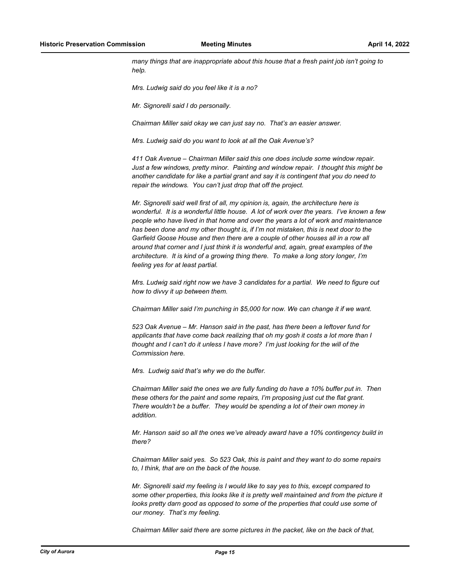*many things that are inappropriate about this house that a fresh paint job isn't going to help.*

*Mrs. Ludwig said do you feel like it is a no?*

*Mr. Signorelli said I do personally.*

*Chairman Miller said okay we can just say no. That's an easier answer.*

*Mrs. Ludwig said do you want to look at all the Oak Avenue's?*

*411 Oak Avenue – Chairman Miller said this one does include some window repair. Just a few windows, pretty minor. Painting and window repair. I thought this might be another candidate for like a partial grant and say it is contingent that you do need to repair the windows. You can't just drop that off the project.*

*Mr. Signorelli said well first of all, my opinion is, again, the architecture here is wonderful. It is a wonderful little house. A lot of work over the years. I've known a few people who have lived in that home and over the years a lot of work and maintenance has been done and my other thought is, if I'm not mistaken, this is next door to the*  Garfield Goose House and then there are a couple of other houses all in a row all *around that corner and I just think it is wonderful and, again, great examples of the architecture. It is kind of a growing thing there. To make a long story longer, I'm feeling yes for at least partial.*

*Mrs. Ludwig said right now we have 3 candidates for a partial. We need to figure out how to divvy it up between them.*

*Chairman Miller said I'm punching in \$5,000 for now. We can change it if we want.*

*523 Oak Avenue – Mr. Hanson said in the past, has there been a leftover fund for applicants that have come back realizing that oh my gosh it costs a lot more than I thought and I can't do it unless I have more? I'm just looking for the will of the Commission here.*

*Mrs. Ludwig said that's why we do the buffer.*

*Chairman Miller said the ones we are fully funding do have a 10% buffer put in. Then these others for the paint and some repairs, I'm proposing just cut the flat grant. There wouldn't be a buffer. They would be spending a lot of their own money in addition.*

*Mr. Hanson said so all the ones we've already award have a 10% contingency build in there?*

*Chairman Miller said yes. So 523 Oak, this is paint and they want to do some repairs to, I think, that are on the back of the house.* 

*Mr. Signorelli said my feeling is I would like to say yes to this, except compared to some other properties, this looks like it is pretty well maintained and from the picture it looks pretty darn good as opposed to some of the properties that could use some of our money. That's my feeling.*

*Chairman Miller said there are some pictures in the packet, like on the back of that,*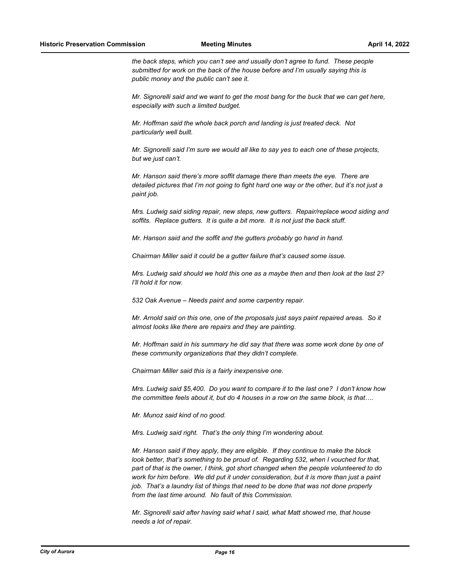*the back steps, which you can't see and usually don't agree to fund. These people submitted for work on the back of the house before and I'm usually saying this is public money and the public can't see it.*

*Mr. Signorelli said and we want to get the most bang for the buck that we can get here, especially with such a limited budget.*

*Mr. Hoffman said the whole back porch and landing is just treated deck. Not particularly well built.*

*Mr. Signorelli said I'm sure we would all like to say yes to each one of these projects, but we just can't.*

*Mr. Hanson said there's more soffit damage there than meets the eye. There are detailed pictures that I'm not going to fight hard one way or the other, but it's not just a paint job.*

*Mrs. Ludwig said siding repair, new steps, new gutters. Repair/replace wood siding and soffits. Replace gutters. It is quite a bit more. It is not just the back stuff.*

*Mr. Hanson said and the soffit and the gutters probably go hand in hand.*

*Chairman Miller said it could be a gutter failure that's caused some issue.*

*Mrs. Ludwig said should we hold this one as a maybe then and then look at the last 2? I'll hold it for now.*

*532 Oak Avenue – Needs paint and some carpentry repair.*

*Mr. Arnold said on this one, one of the proposals just says paint repaired areas. So it almost looks like there are repairs and they are painting.*

*Mr. Hoffman said in his summary he did say that there was some work done by one of these community organizations that they didn't complete.*

*Chairman Miller said this is a fairly inexpensive one.*

*Mrs. Ludwig said \$5,400. Do you want to compare it to the last one? I don't know how the committee feels about it, but do 4 houses in a row on the same block, is that….*

*Mr. Munoz said kind of no good.*

*Mrs. Ludwig said right. That's the only thing I'm wondering about.*

*Mr. Hanson said if they apply, they are eligible. If they continue to make the block look better, that's something to be proud of. Regarding 532, when I vouched for that, part of that is the owner, I think, got short changed when the people volunteered to do work for him before. We did put it under consideration, but it is more than just a paint job. That's a laundry list of things that need to be done that was not done properly from the last time around. No fault of this Commission.*

*Mr. Signorelli said after having said what I said, what Matt showed me, that house needs a lot of repair.*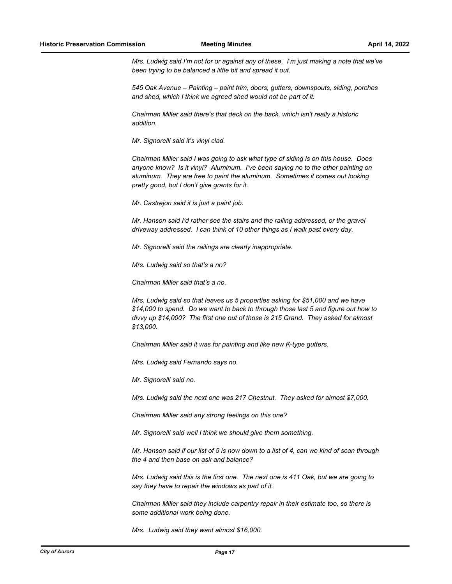*Mrs. Ludwig said I'm not for or against any of these. I'm just making a note that we've been trying to be balanced a little bit and spread it out.*

*545 Oak Avenue – Painting – paint trim, doors, gutters, downspouts, siding, porches and shed, which I think we agreed shed would not be part of it.*

*Chairman Miller said there's that deck on the back, which isn't really a historic addition.*

*Mr. Signorelli said it's vinyl clad.*

*Chairman Miller said I was going to ask what type of siding is on this house. Does anyone know? Is it vinyl? Aluminum. I've been saying no to the other painting on aluminum. They are free to paint the aluminum. Sometimes it comes out looking pretty good, but I don't give grants for it.*

*Mr. Castrejon said it is just a paint job.*

*Mr. Hanson said I'd rather see the stairs and the railing addressed, or the gravel driveway addressed. I can think of 10 other things as I walk past every day.*

*Mr. Signorelli said the railings are clearly inappropriate.*

*Mrs. Ludwig said so that's a no?*

*Chairman Miller said that's a no.*

*Mrs. Ludwig said so that leaves us 5 properties asking for \$51,000 and we have \$14,000 to spend. Do we want to back to through those last 5 and figure out how to divvy up \$14,000? The first one out of those is 215 Grand. They asked for almost \$13,000.*

*Chairman Miller said it was for painting and like new K-type gutters.*

*Mrs. Ludwig said Fernando says no.*

*Mr. Signorelli said no.*

*Mrs. Ludwig said the next one was 217 Chestnut. They asked for almost \$7,000.*

*Chairman Miller said any strong feelings on this one?*

*Mr. Signorelli said well I think we should give them something.*

*Mr. Hanson said if our list of 5 is now down to a list of 4, can we kind of scan through the 4 and then base on ask and balance?*

*Mrs. Ludwig said this is the first one. The next one is 411 Oak, but we are going to say they have to repair the windows as part of it.*

*Chairman Miller said they include carpentry repair in their estimate too, so there is some additional work being done.*

*Mrs. Ludwig said they want almost \$16,000.*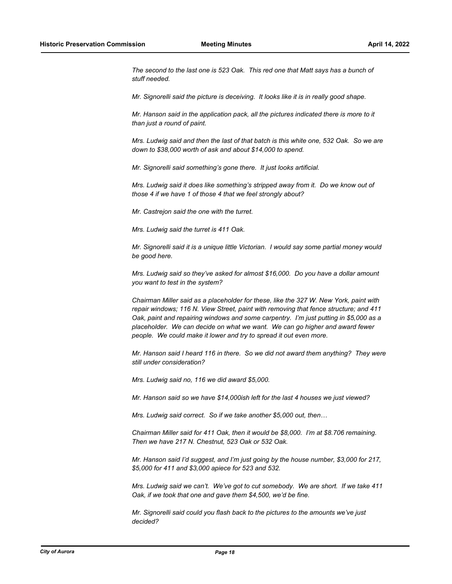*The second to the last one is 523 Oak. This red one that Matt says has a bunch of stuff needed.*

*Mr. Signorelli said the picture is deceiving. It looks like it is in really good shape.*

*Mr. Hanson said in the application pack, all the pictures indicated there is more to it than just a round of paint.*

*Mrs. Ludwig said and then the last of that batch is this white one, 532 Oak. So we are down to \$38,000 worth of ask and about \$14,000 to spend.*

*Mr. Signorelli said something's gone there. It just looks artificial.*

*Mrs. Ludwig said it does like something's stripped away from it. Do we know out of those 4 if we have 1 of those 4 that we feel strongly about?*

*Mr. Castrejon said the one with the turret.*

*Mrs. Ludwig said the turret is 411 Oak.*

*Mr. Signorelli said it is a unique little Victorian. I would say some partial money would be good here.*

*Mrs. Ludwig said so they've asked for almost \$16,000. Do you have a dollar amount you want to test in the system?*

*Chairman Miller said as a placeholder for these, like the 327 W. New York, paint with repair windows; 116 N. View Street, paint with removing that fence structure; and 411 Oak, paint and repairing windows and some carpentry. I'm just putting in \$5,000 as a placeholder. We can decide on what we want. We can go higher and award fewer people. We could make it lower and try to spread it out even more.*

*Mr. Hanson said I heard 116 in there. So we did not award them anything? They were still under consideration?*

*Mrs. Ludwig said no, 116 we did award \$5,000.*

*Mr. Hanson said so we have \$14,000ish left for the last 4 houses we just viewed?*

*Mrs. Ludwig said correct. So if we take another \$5,000 out, then…*

*Chairman Miller said for 411 Oak, then it would be \$8,000. I'm at \$8.706 remaining. Then we have 217 N. Chestnut, 523 Oak or 532 Oak.*

*Mr. Hanson said I'd suggest, and I'm just going by the house number, \$3,000 for 217, \$5,000 for 411 and \$3,000 apiece for 523 and 532.*

*Mrs. Ludwig said we can't. We've got to cut somebody. We are short. If we take 411 Oak, if we took that one and gave them \$4,500, we'd be fine.*

*Mr. Signorelli said could you flash back to the pictures to the amounts we've just decided?*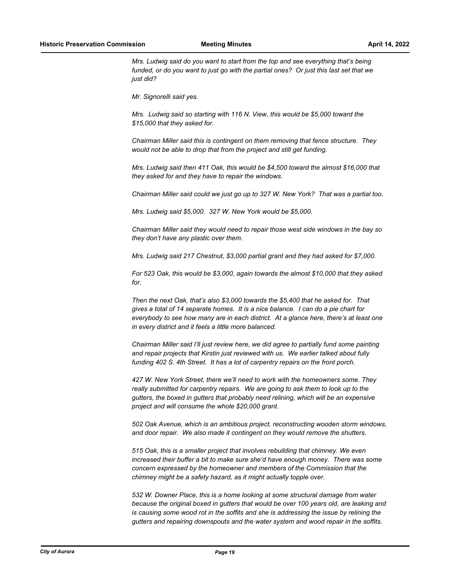*Mrs. Ludwig said do you want to start from the top and see everything that's being funded, or do you want to just go with the partial ones? Or just this last set that we just did?*

*Mr. Signorelli said yes.*

*Mrs. Ludwig said so starting with 116 N. View, this would be \$5,000 toward the \$15,000 that they asked for.*

*Chairman Miller said this is contingent on them removing that fence structure. They would not be able to drop that from the project and still get funding.*

*Mrs. Ludwig said then 411 Oak, this would be \$4,500 toward the almost \$16,000 that they asked for and they have to repair the windows.*

*Chairman Miller said could we just go up to 327 W. New York? That was a partial too.*

*Mrs. Ludwig said \$5,000. 327 W. New York would be \$5,000.*

*Chairman Miller said they would need to repair those west side windows in the bay so they don't have any plastic over them.*

*Mrs. Ludwig said 217 Chestnut, \$3,000 partial grant and they had asked for \$7,000.*

*For 523 Oak, this would be \$3,000, again towards the almost \$10,000 that they asked for.*

*Then the next Oak, that's also \$3,000 towards the \$5,400 that he asked for. That gives a total of 14 separate homes. It is a nice balance. I can do a pie chart for everybody to see how many are in each district. At a glance here, there's at least one in every district and it feels a little more balanced.*

*Chairman Miller said I'll just review here, we did agree to partially fund some painting and repair projects that Kirstin just reviewed with us. We earlier talked about fully funding 402 S. 4th Street. It has a lot of carpentry repairs on the front porch.*

*427 W. New York Street, there we'll need to work with the homeowners some. They really submitted for carpentry repairs. We are going to ask them to look up to the gutters, the boxed in gutters that probably need relining, which will be an expensive project and will consume the whole \$20,000 grant.*

*502 Oak Avenue, which is an ambitious project, reconstructing wooden storm windows, and door repair. We also made it contingent on they would remove the shutters.*

*515 Oak, this is a smaller project that involves rebuilding that chimney. We even increased their buffer a bit to make sure she'd have enough money. There was some concern expressed by the homeowner and members of the Commission that the chimney might be a safety hazard, as it might actually topple over.*

*532 W. Downer Place, this is a home looking at some structural damage from water because the original boxed in gutters that would be over 100 years old, are leaking and is causing some wood rot in the soffits and she is addressing the issue by relining the gutters and repairing downspouts and the water system and wood repair in the soffits.*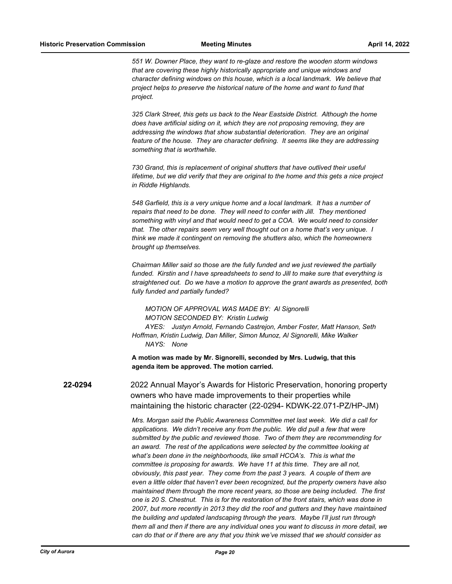*551 W. Downer Place, they want to re-glaze and restore the wooden storm windows that are covering these highly historically appropriate and unique windows and character defining windows on this house, which is a local landmark. We believe that project helps to preserve the historical nature of the home and want to fund that project.*

*325 Clark Street, this gets us back to the Near Eastside District. Although the home does have artificial siding on it, which they are not proposing removing, they are addressing the windows that show substantial deterioration. They are an original feature of the house. They are character defining. It seems like they are addressing something that is worthwhile.*

*730 Grand, this is replacement of original shutters that have outlived their useful lifetime, but we did verify that they are original to the home and this gets a nice project in Riddle Highlands.* 

*548 Garfield, this is a very unique home and a local landmark. It has a number of repairs that need to be done. They will need to confer with Jill. They mentioned something with vinyl and that would need to get a COA. We would need to consider that. The other repairs seem very well thought out on a home that's very unique. I think we made it contingent on removing the shutters also, which the homeowners brought up themselves.*

*Chairman Miller said so those are the fully funded and we just reviewed the partially funded. Kirstin and I have spreadsheets to send to Jill to make sure that everything is straightened out. Do we have a motion to approve the grant awards as presented, both fully funded and partially funded?*

*MOTION OF APPROVAL WAS MADE BY: Al Signorelli MOTION SECONDED BY: Kristin Ludwig AYES: Justyn Arnold, Fernando Castrejon, Amber Foster, Matt Hanson, Seth Hoffman, Kristin Ludwig, Dan Miller, Simon Munoz, Al Signorelli, Mike Walker NAYS: None*

**A motion was made by Mr. Signorelli, seconded by Mrs. Ludwig, that this agenda item be approved. The motion carried.**

**22-0294** 2022 Annual Mayor's Awards for Historic Preservation, honoring property owners who have made improvements to their properties while maintaining the historic character (22-0294- KDWK-22.071-PZ/HP-JM)

> *Mrs. Morgan said the Public Awareness Committee met last week. We did a call for applications. We didn't receive any from the public. We did pull a few that were submitted by the public and reviewed those. Two of them they are recommending for an award. The rest of the applications were selected by the committee looking at what's been done in the neighborhoods, like small HCOA's. This is what the committee is proposing for awards. We have 11 at this time. They are all not, obviously, this past year. They come from the past 3 years. A couple of them are even a little older that haven't ever been recognized, but the property owners have also maintained them through the more recent years, so those are being included. The first one is 20 S. Chestnut. This is for the restoration of the front stairs, which was done in 2007, but more recently in 2013 they did the roof and gutters and they have maintained the building and updated landscaping through the years. Maybe I'll just run through them all and then if there are any individual ones you want to discuss in more detail, we can do that or if there are any that you think we've missed that we should consider as*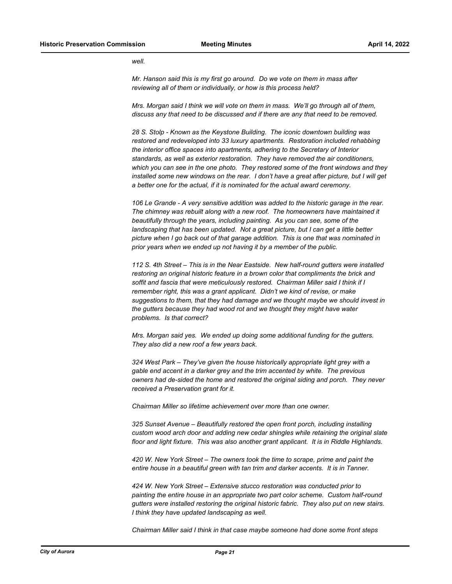*well.*

*Mr. Hanson said this is my first go around. Do we vote on them in mass after reviewing all of them or individually, or how is this process held?*

*Mrs. Morgan said I think we will vote on them in mass. We'll go through all of them, discuss any that need to be discussed and if there are any that need to be removed.*

*28 S. Stolp - Known as the Keystone Building. The iconic downtown building was restored and redeveloped into 33 luxury apartments. Restoration included rehabbing the interior office spaces into apartments, adhering to the Secretary of Interior standards, as well as exterior restoration. They have removed the air conditioners, which you can see in the one photo. They restored some of the front windows and they*  installed some new windows on the rear. I don't have a great after picture, but I will get *a better one for the actual, if it is nominated for the actual award ceremony.*

*106 Le Grande - A very sensitive addition was added to the historic garage in the rear. The chimney was rebuilt along with a new roof. The homeowners have maintained it beautifully through the years, including painting. As you can see, some of the landscaping that has been updated. Not a great picture, but I can get a little better picture when I go back out of that garage addition. This is one that was nominated in prior years when we ended up not having it by a member of the public.*

*112 S. 4th Street – This is in the Near Eastside. New half-round gutters were installed restoring an original historic feature in a brown color that compliments the brick and soffit and fascia that were meticulously restored. Chairman Miller said I think if I remember right, this was a grant applicant. Didn't we kind of revise, or make suggestions to them, that they had damage and we thought maybe we should invest in the gutters because they had wood rot and we thought they might have water problems. Is that correct?*

*Mrs. Morgan said yes. We ended up doing some additional funding for the gutters. They also did a new roof a few years back.*

*324 West Park – They've given the house historically appropriate light grey with a gable end accent in a darker grey and the trim accented by white. The previous owners had de-sided the home and restored the original siding and porch. They never received a Preservation grant for it.*

*Chairman Miller so lifetime achievement over more than one owner.*

*325 Sunset Avenue – Beautifully restored the open front porch, including installing custom wood arch door and adding new cedar shingles while retaining the original slate floor and light fixture. This was also another grant applicant. It is in Riddle Highlands.*

*420 W. New York Street – The owners took the time to scrape, prime and paint the entire house in a beautiful green with tan trim and darker accents. It is in Tanner.*

*424 W. New York Street – Extensive stucco restoration was conducted prior to painting the entire house in an appropriate two part color scheme. Custom half-round gutters were installed restoring the original historic fabric. They also put on new stairs. I think they have updated landscaping as well.*

*Chairman Miller said I think in that case maybe someone had done some front steps*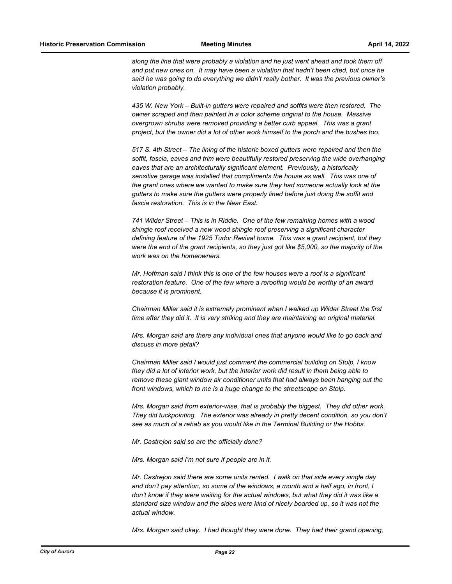*along the line that were probably a violation and he just went ahead and took them off and put new ones on. It may have been a violation that hadn't been cited, but once he said he was going to do everything we didn't really bother. It was the previous owner's violation probably.*

*435 W. New York – Built-in gutters were repaired and soffits were then restored. The owner scraped and then painted in a color scheme original to the house. Massive overgrown shrubs were removed providing a better curb appeal. This was a grant project, but the owner did a lot of other work himself to the porch and the bushes too.*

*517 S. 4th Street – The lining of the historic boxed gutters were repaired and then the soffit, fascia, eaves and trim were beautifully restored preserving the wide overhanging eaves that are an architecturally significant element. Previously, a historically sensitive garage was installed that compliments the house as well. This was one of the grant ones where we wanted to make sure they had someone actually look at the gutters to make sure the gutters were properly lined before just doing the soffit and fascia restoration. This is in the Near East.*

*741 Wilder Street – This is in Riddle. One of the few remaining homes with a wood shingle roof received a new wood shingle roof preserving a significant character defining feature of the 1925 Tudor Revival home. This was a grant recipient, but they were the end of the grant recipients, so they just got like \$5,000, so the majority of the work was on the homeowners.*

*Mr. Hoffman said I think this is one of the few houses were a roof is a significant restoration feature. One of the few where a reroofing would be worthy of an award because it is prominent.*

*Chairman Miller said it is extremely prominent when I walked up Wilder Street the first time after they did it. It is very striking and they are maintaining an original material.*

*Mrs. Morgan said are there any individual ones that anyone would like to go back and discuss in more detail?*

*Chairman Miller said I would just comment the commercial building on Stolp, I know they did a lot of interior work, but the interior work did result in them being able to remove these giant window air conditioner units that had always been hanging out the front windows, which to me is a huge change to the streetscape on Stolp.*

*Mrs. Morgan said from exterior-wise, that is probably the biggest. They did other work. They did tuckpointing. The exterior was already in pretty decent condition, so you don't see as much of a rehab as you would like in the Terminal Building or the Hobbs.*

*Mr. Castrejon said so are the officially done?*

*Mrs. Morgan said I'm not sure if people are in it.*

*Mr. Castrejon said there are some units rented. I walk on that side every single day and don't pay attention, so some of the windows, a month and a half ago, in front, I don't know if they were waiting for the actual windows, but what they did it was like a standard size window and the sides were kind of nicely boarded up, so it was not the actual window.*

*Mrs. Morgan said okay. I had thought they were done. They had their grand opening,*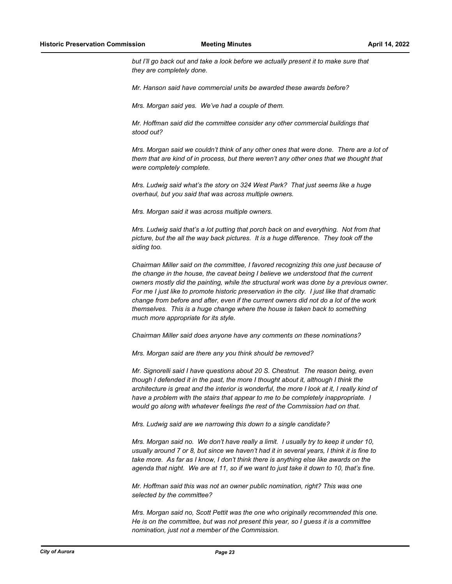*but I'll go back out and take a look before we actually present it to make sure that they are completely done.*

*Mr. Hanson said have commercial units be awarded these awards before?*

*Mrs. Morgan said yes. We've had a couple of them.* 

*Mr. Hoffman said did the committee consider any other commercial buildings that stood out?*

*Mrs. Morgan said we couldn't think of any other ones that were done. There are a lot of them that are kind of in process, but there weren't any other ones that we thought that were completely complete.*

*Mrs. Ludwig said what's the story on 324 West Park? That just seems like a huge overhaul, but you said that was across multiple owners.*

*Mrs. Morgan said it was across multiple owners.*

*Mrs. Ludwig said that's a lot putting that porch back on and everything. Not from that picture, but the all the way back pictures. It is a huge difference. They took off the siding too.*

*Chairman Miller said on the committee, I favored recognizing this one just because of the change in the house, the caveat being I believe we understood that the current owners mostly did the painting, while the structural work was done by a previous owner. For me I just like to promote historic preservation in the city. I just like that dramatic change from before and after, even if the current owners did not do a lot of the work themselves. This is a huge change where the house is taken back to something much more appropriate for its style.*

*Chairman Miller said does anyone have any comments on these nominations?*

*Mrs. Morgan said are there any you think should be removed?*

*Mr. Signorelli said I have questions about 20 S. Chestnut. The reason being, even though I defended it in the past, the more I thought about it, although I think the architecture is great and the interior is wonderful, the more I look at it, I really kind of have a problem with the stairs that appear to me to be completely inappropriate. I would go along with whatever feelings the rest of the Commission had on that.*

*Mrs. Ludwig said are we narrowing this down to a single candidate?*

*Mrs. Morgan said no. We don't have really a limit. I usually try to keep it under 10, usually around 7 or 8, but since we haven't had it in several years, I think it is fine to take more. As far as I know, I don't think there is anything else like awards on the agenda that night. We are at 11, so if we want to just take it down to 10, that's fine.*

*Mr. Hoffman said this was not an owner public nomination, right? This was one selected by the committee?*

*Mrs. Morgan said no, Scott Pettit was the one who originally recommended this one. He is on the committee, but was not present this year, so I guess it is a committee nomination, just not a member of the Commission.*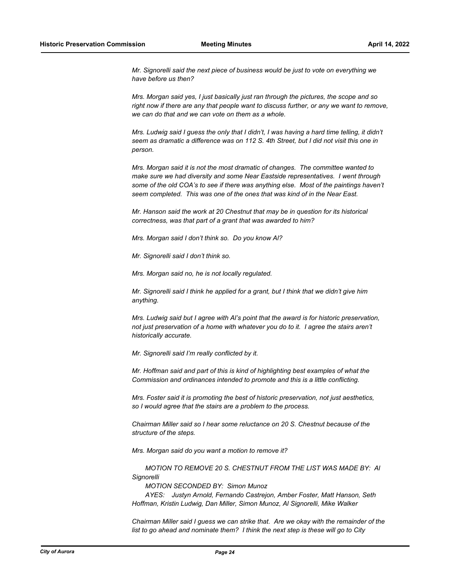*Mr. Signorelli said the next piece of business would be just to vote on everything we have before us then?*

*Mrs. Morgan said yes, I just basically just ran through the pictures, the scope and so right now if there are any that people want to discuss further, or any we want to remove, we can do that and we can vote on them as a whole.*

*Mrs. Ludwig said I guess the only that I didn't, I was having a hard time telling, it didn't seem as dramatic a difference was on 112 S. 4th Street, but I did not visit this one in person.*

*Mrs. Morgan said it is not the most dramatic of changes. The committee wanted to make sure we had diversity and some Near Eastside representatives. I went through some of the old COA's to see if there was anything else. Most of the paintings haven't seem completed. This was one of the ones that was kind of in the Near East.*

*Mr. Hanson said the work at 20 Chestnut that may be in question for its historical correctness, was that part of a grant that was awarded to him?*

*Mrs. Morgan said I don't think so. Do you know Al?*

*Mr. Signorelli said I don't think so.*

*Mrs. Morgan said no, he is not locally regulated.*

*Mr. Signorelli said I think he applied for a grant, but I think that we didn't give him anything.*

*Mrs. Ludwig said but I agree with Al's point that the award is for historic preservation, not just preservation of a home with whatever you do to it. I agree the stairs aren't historically accurate.*

*Mr. Signorelli said I'm really conflicted by it.*

*Mr. Hoffman said and part of this is kind of highlighting best examples of what the Commission and ordinances intended to promote and this is a little conflicting.*

*Mrs. Foster said it is promoting the best of historic preservation, not just aesthetics, so I would agree that the stairs are a problem to the process.*

*Chairman Miller said so I hear some reluctance on 20 S. Chestnut because of the structure of the steps.*

*Mrs. Morgan said do you want a motion to remove it?*

*MOTION TO REMOVE 20 S. CHESTNUT FROM THE LIST WAS MADE BY: Al Signorelli*

*MOTION SECONDED BY: Simon Munoz*

*AYES: Justyn Arnold, Fernando Castrejon, Amber Foster, Matt Hanson, Seth Hoffman, Kristin Ludwig, Dan Miller, Simon Munoz, Al Signorelli, Mike Walker*

*Chairman Miller said I guess we can strike that. Are we okay with the remainder of the list to go ahead and nominate them? I think the next step is these will go to City*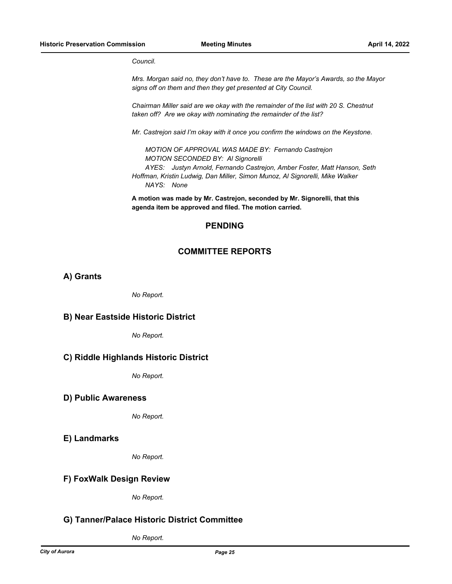*Council.*

*Mrs. Morgan said no, they don't have to. These are the Mayor's Awards, so the Mayor signs off on them and then they get presented at City Council.*

*Chairman Miller said are we okay with the remainder of the list with 20 S. Chestnut taken off? Are we okay with nominating the remainder of the list?*

*Mr. Castrejon said I'm okay with it once you confirm the windows on the Keystone.*

*MOTION OF APPROVAL WAS MADE BY: Fernando Castrejon MOTION SECONDED BY: Al Signorelli AYES: Justyn Arnold, Fernando Castrejon, Amber Foster, Matt Hanson, Seth Hoffman, Kristin Ludwig, Dan Miller, Simon Munoz, Al Signorelli, Mike Walker NAYS: None*

**A motion was made by Mr. Castrejon, seconded by Mr. Signorelli, that this agenda item be approved and filed. The motion carried.**

#### **PENDING**

#### **COMMITTEE REPORTS**

**A) Grants**

*No Report.*

#### **B) Near Eastside Historic District**

*No Report.*

#### **C) Riddle Highlands Historic District**

*No Report.*

#### **D) Public Awareness**

*No Report.*

**E) Landmarks**

*No Report.*

#### **F) FoxWalk Design Review**

*No Report.*

#### **G) Tanner/Palace Historic District Committee**

*No Report.*